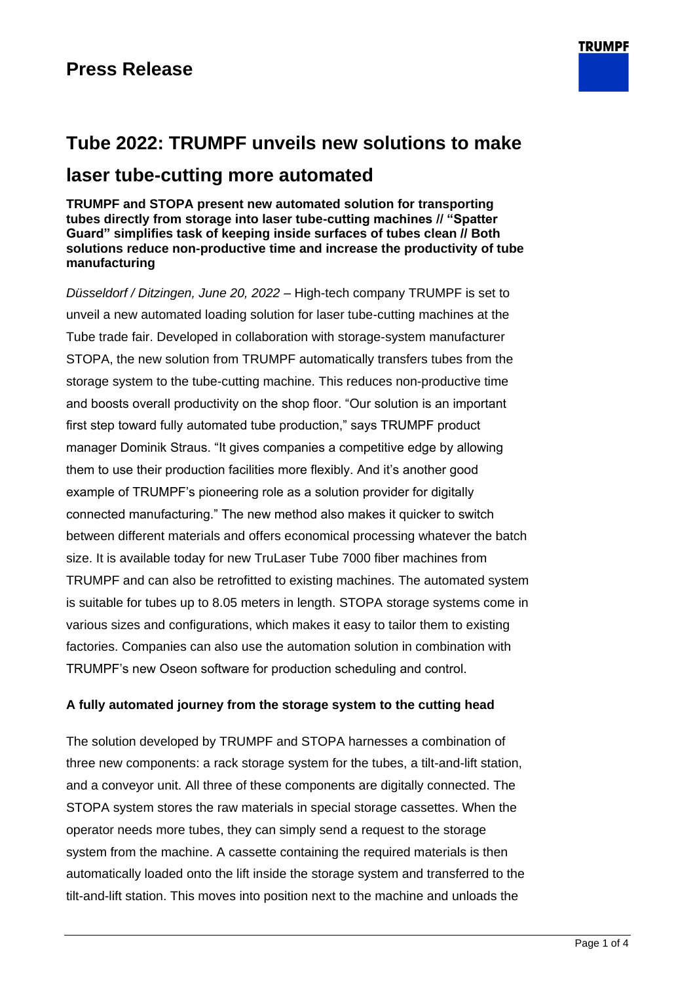# **Tube 2022: TRUMPF unveils new solutions to make laser tube-cutting more automated**

**TRUMPF and STOPA present new automated solution for transporting tubes directly from storage into laser tube-cutting machines // "Spatter Guard" simplifies task of keeping inside surfaces of tubes clean // Both solutions reduce non-productive time and increase the productivity of tube manufacturing**

*Düsseldorf / Ditzingen, June 20, 2022 –* High-tech company TRUMPF is set to unveil a new automated loading solution for laser tube-cutting machines at the Tube trade fair. Developed in collaboration with storage-system manufacturer STOPA, the new solution from TRUMPF automatically transfers tubes from the storage system to the tube-cutting machine. This reduces non-productive time and boosts overall productivity on the shop floor. "Our solution is an important first step toward fully automated tube production," says TRUMPF product manager Dominik Straus. "It gives companies a competitive edge by allowing them to use their production facilities more flexibly. And it's another good example of TRUMPF's pioneering role as a solution provider for digitally connected manufacturing." The new method also makes it quicker to switch between different materials and offers economical processing whatever the batch size. It is available today for new TruLaser Tube 7000 fiber machines from TRUMPF and can also be retrofitted to existing machines. The automated system is suitable for tubes up to 8.05 meters in length. STOPA storage systems come in various sizes and configurations, which makes it easy to tailor them to existing factories. Companies can also use the automation solution in combination with TRUMPF's new Oseon software for production scheduling and control.

#### **A fully automated journey from the storage system to the cutting head**

The solution developed by TRUMPF and STOPA harnesses a combination of three new components: a rack storage system for the tubes, a tilt-and-lift station, and a conveyor unit. All three of these components are digitally connected. The STOPA system stores the raw materials in special storage cassettes. When the operator needs more tubes, they can simply send a request to the storage system from the machine. A cassette containing the required materials is then automatically loaded onto the lift inside the storage system and transferred to the tilt-and-lift station. This moves into position next to the machine and unloads the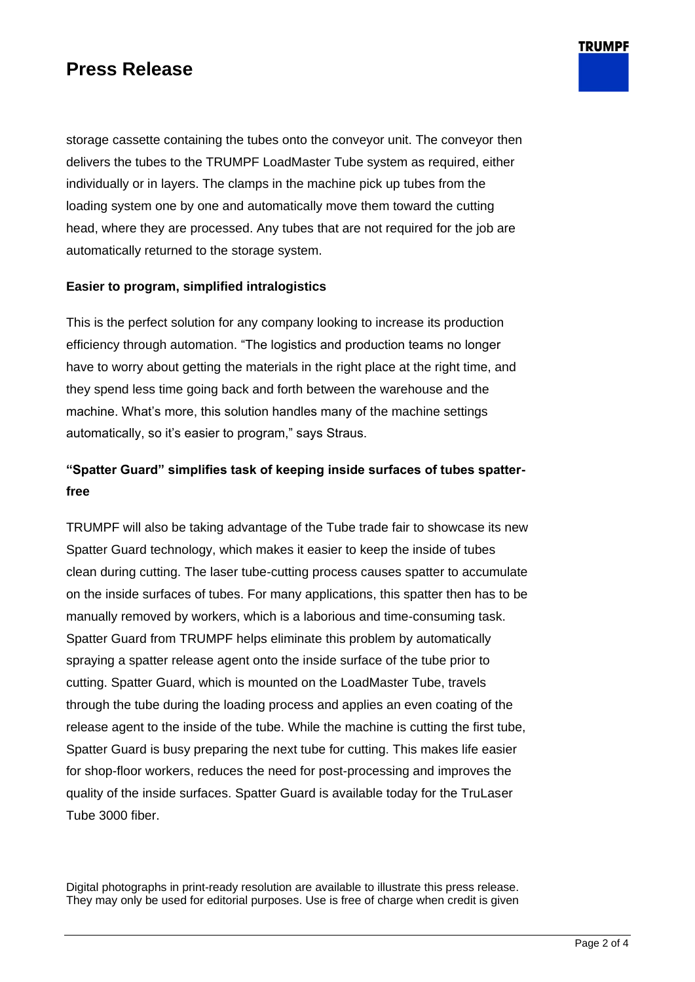### **Press Release**

storage cassette containing the tubes onto the conveyor unit. The conveyor then delivers the tubes to the TRUMPF LoadMaster Tube system as required, either individually or in layers. The clamps in the machine pick up tubes from the loading system one by one and automatically move them toward the cutting head, where they are processed. Any tubes that are not required for the job are automatically returned to the storage system.

#### **Easier to program, simplified intralogistics**

This is the perfect solution for any company looking to increase its production efficiency through automation. "The logistics and production teams no longer have to worry about getting the materials in the right place at the right time, and they spend less time going back and forth between the warehouse and the machine. What's more, this solution handles many of the machine settings automatically, so it's easier to program," says Straus.

### **"Spatter Guard" simplifies task of keeping inside surfaces of tubes spatterfree**

TRUMPF will also be taking advantage of the Tube trade fair to showcase its new Spatter Guard technology, which makes it easier to keep the inside of tubes clean during cutting. The laser tube-cutting process causes spatter to accumulate on the inside surfaces of tubes. For many applications, this spatter then has to be manually removed by workers, which is a laborious and time-consuming task. Spatter Guard from TRUMPF helps eliminate this problem by automatically spraying a spatter release agent onto the inside surface of the tube prior to cutting. Spatter Guard, which is mounted on the LoadMaster Tube, travels through the tube during the loading process and applies an even coating of the release agent to the inside of the tube. While the machine is cutting the first tube, Spatter Guard is busy preparing the next tube for cutting. This makes life easier for shop-floor workers, reduces the need for post-processing and improves the quality of the inside surfaces. Spatter Guard is available today for the TruLaser Tube 3000 fiber.

Digital photographs in print-ready resolution are available to illustrate this press release. They may only be used for editorial purposes. Use is free of charge when credit is given **TRUMPF**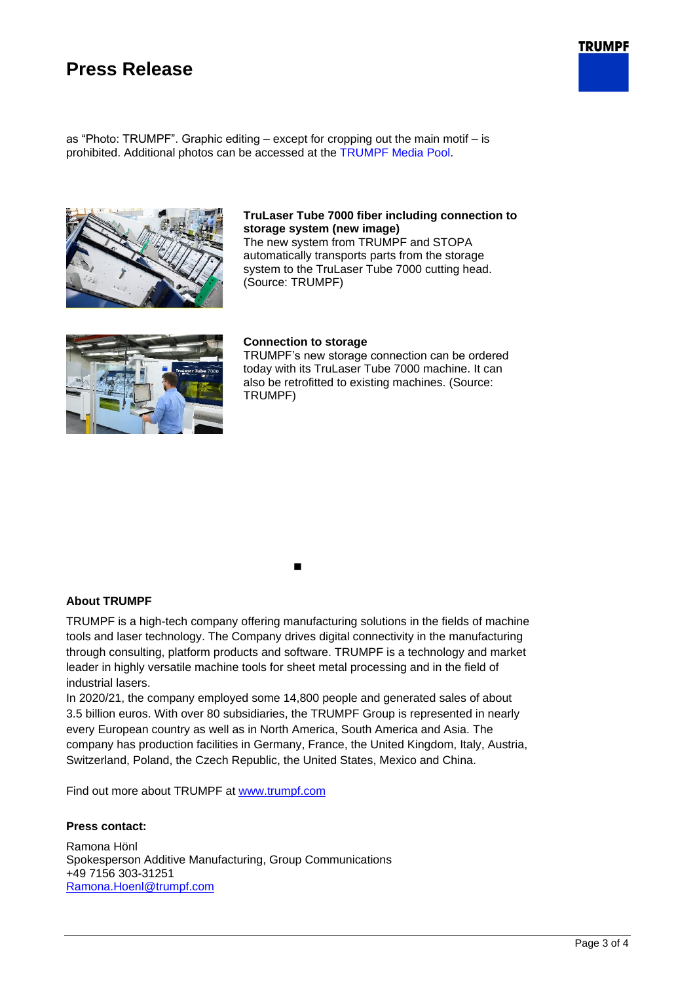### **Press Release**



as "Photo: TRUMPF". Graphic editing – except for cropping out the main motif – is prohibited. Additional photos can be accessed at the [TRUMPF Media Pool.](https://mediapool.trumpf.com/search/set/?resetsearch&field=metaproperty_Currentness&value=PressMaterial&multiple=false&filterType=add&filterkey=savedFilters&disableModal=false&_=1435333889014)



#### **TruLaser Tube 7000 fiber including connection to storage system (new image)**

The new system from TRUMPF and STOPA automatically transports parts from the storage system to the TruLaser Tube 7000 cutting head. (Source: TRUMPF)



#### **Connection to storage**

TRUMPF's new storage connection can be ordered today with its TruLaser Tube 7000 machine. It can also be retrofitted to existing machines. (Source: TRUMPF)

◼

#### **About TRUMPF**

TRUMPF is a high-tech company offering manufacturing solutions in the fields of machine tools and laser technology. The Company drives digital connectivity in the manufacturing through consulting, platform products and software. TRUMPF is a technology and market leader in highly versatile machine tools for sheet metal processing and in the field of industrial lasers.

In 2020/21, the company employed some 14,800 people and generated sales of about 3.5 billion euros. With over 80 subsidiaries, the TRUMPF Group is represented in nearly every European country as well as in North America, South America and Asia. The company has production facilities in Germany, France, the United Kingdom, Italy, Austria, Switzerland, Poland, the Czech Republic, the United States, Mexico and China.

Find out more about TRUMPF at [www.trumpf.com](http://www.trumpf.com/en.html)

#### **Press contact:**

Ramona Hönl Spokesperson Additive Manufacturing, Group Communications +49 7156 303-31251 [Ramona.Hoenl@trumpf.com](mailto:Ramona.Hoenl@trumpf.com)